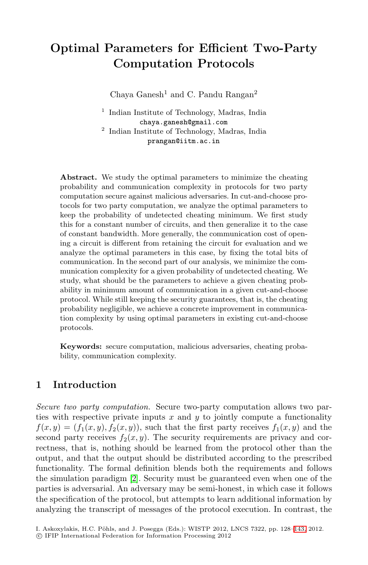# **Optimal Parameters for Efficient Two-Party Computation Protocols**

Chaya Ganesh<sup>1</sup> and C. Pandu Rangan<sup>2</sup>

<sup>1</sup> Indian Institute of Technology, Madras, India chaya.ganesh@gmail.com <sup>2</sup> Indian Institute of Technology, Madras, India prangan@iitm.ac.in

**Abstract.** We study the optimal parameters to minimize the cheating probability and communication complexity in protocols for two party computation secure against malicious adversaries. In cut-and-choose protocols for two party computation, we analyze the optimal parameters to keep the probability of undetected cheating minimum. We first study this for a constant number of circuits, and then generalize it to the case of constant bandwidth. More generally, the communication cost of opening a circuit is different from retaining the circuit for evaluation and we analyze the optimal parameters in this case, by fixing the total bits of communication. In the second part of our analysis, we minimize the communication complexity for a given probability of undetected cheating. We study, what should be the parameters to achieve a given cheating probability in minimum amount of communication in a given cut-and-choose protocol. While still keeping the security guarantees, that is, the cheating probability negligible, we achieve a concrete improvement in communication complexity by using optimal parameters in existing cut-and-choose protocols.

**Keywords:** secure computation, malicious adversaries, cheating probability, communication complexity.

# **1 Introduction**

*Secure [tw](#page-15-0)o party computation.* Secure two-party computation allows two parties with respective private inputs  $x$  and  $y$  to jointly compute a functionality  $f(x, y)=(f_1(x, y), f_2(x, y))$ , such that the first party receives  $f_1(x, y)$  and the second party receives  $f_2(x, y)$ . The security requirements are privacy and correctness, that is, nothing should be learned from [the](#page-15-1) protocol other than the output, and that the output should be distributed according to the prescribed functionality. The formal definition blends both the requirements and follows the simulation paradigm [2]. Security must be guaranteed even when one of the parties is adversarial. An adversary may be semi-honest, in which case it follows the specification of the protocol, but attempts to learn additional information by analyzing the transcript of messages of the protocol execution. In contrast, the

I. Askoxylakis, H.C. Pöhls, and J. Posegga (Eds.): WISTP 2012, LNCS 7322, pp. 128–143, 2012.

<sup>-</sup>c IFIP International Federation for Information Processing 2012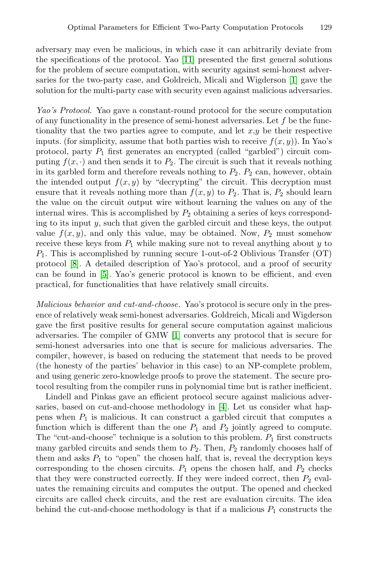adversary may even be malicious, in which case it can arbitrarily deviate from the specifications of the protocol. Yao [11] presented the first general solutions for the problem of secure computation, with security against semi-honest adversaries for the two-party case, and Goldreich, Micali and Wigderson [1] gave the solution for the multi-party case with security even against malicious adversaries.

*Yao's Protocol.* Yao gave a constant-round protocol for the secure computation of any functionality in the presence of semi-honest adversaries. Let  $f$  be the functionality that the two parties agree to compute, and let  $x,y$  be their respective inputs. (for simplicity, assume that both parties wish to receive  $f(x, y)$ ). In Yao's protocol, party  $P_1$  first generates an encrypted (called "garbled") circuit computing  $f(x, \cdot)$  and then sends it to  $P_2$ . The circuit is such that it reveals nothing in its garbled form and therefore reveals nothing to  $P_2$ .  $P_2$  can, however, obtain the intended output  $f(x, y)$  by "decrypting" the circuit. This decryption must [e](#page-15-2)nsure that it reveals nothing more than  $f(x, y)$  to  $P_2$ . That is,  $P_2$  should learn the value on the circuit output wire without learning the values on any of the internal wires. This is accomplished by  $P_2$  obtaining a series of keys corresponding to its input  $y$ , such that given the garbled circuit and these keys, the output value  $f(x, y)$ , and only this value, may be obtained. Now,  $P_2$  must somehow receive these keys from  $P_1$  while making sure not to reveal anything about y to  $P_1$ . This is accom[pl](#page-15-3)ished by running secure 1-out-of-2 Oblivious Transfer (OT) protocol [8]. A detailed description of Yao's protocol, and a proof of security can be found in [5]. Yao's generic protocol is known to be efficient, and even practical, for functionalities that have relatively small circuits.

*Malicious behavior and cut-and-choose.* Yao's protocol is secure only in the presence of relatively weak semi-honest adversaries. Goldreich, Micali and Wigderson gave the first positive results [for](#page-15-4) general secure computation against malicious adversaries. The compiler of GMW [1] converts any protocol that is secure for semi-honest adversaries into one that is secure for malicious adversaries. The compiler, however, is based on reducing the statement that needs to be proved (the honesty of the parties' behavior in this case) to an NP-complete problem, and using generic zero-knowledge proofs to prove the statement. The secure protocol resulting from the compiler runs in polynomial time but is rather inefficient.

Lindell and Pinkas gave an efficient protocol secure against malicious adversaries, based on cut-and-choose methodology in [4]. Let us consider what happens when  $P_1$  is malicious. It can construct a garbled circuit that computes a function which is different than the one  $P_1$  and  $P_2$  jointly agreed to compute. The "cut-and-choose" technique is a solution to this problem.  $P_1$  first constructs many garbled circuits and sends them to  $P_2$ . Then,  $P_2$  randomly chooses half of them and asks  $P_1$  to "open" the chosen half, that is, reveal the decryption keys corresponding to the chosen circuits.  $P_1$  opens the chosen half, and  $P_2$  checks that they were constructed correctly. If they were indeed correct, then  $P_2$  evaluates the remaining circuits and computes the output. The opened and checked circuits are called check circuits, and the rest are evaluation circuits. The idea behind the cut-and-choose methodology is that if a malicious  $P_1$  constructs the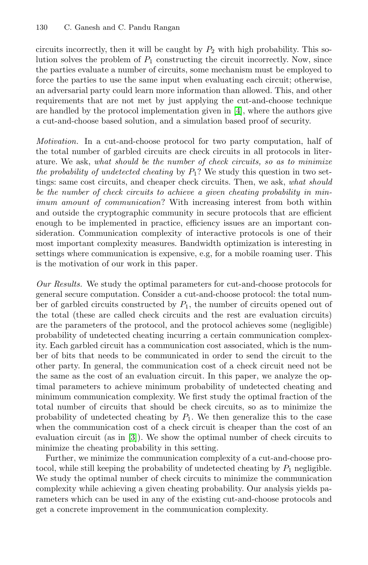circuits incorrectly, then it will be caught by  $P_2$  with high probability. This solution solves the problem of  $P_1$  constructing the circuit incorrectly. Now, since the parties evaluate a number of circuits, some mechanism must be employed to force the parties to use the same input when evaluating each circuit; otherwise, an adversarial party could learn more information than allowed. This, and other requirements that are not met by just applying the cut-and-choose technique are handled by the protocol implementation given in [4], where the authors give a cut-and-choose based solution, and a simulation based proof of security.

*Motivation.* In a cut-and-choose protocol for two party computation, half of the total number of garbled circuits are check circuits in all protocols in literature. We ask, *what should be the number of check circuits, so as to minimize the probability of undetected cheating* by  $P_1$ ? We study this question in two settings: same cost circuits, and cheaper check circuits. Then, we ask, *what should be the number of check circuits to achieve a given cheating probability in minimum amount of communication*? With increasing interest from both within and outside the cryptographic community in secure protocols that are efficient enough to be implemented in practice, efficiency issues are an important consideration. Communication complexity of interactive protocols is one of their most important complexity measures. Bandwidth optimization is interesting in settings where communication is expensive, e.g, for a mobile roaming user. This is the motivation of our work in this paper.

*Our Results.* We study the optimal parameters for cut-and-choose protocols for general secure computation. Consider a cut-and-choose protocol: the total number of garbled circuits constructed by  $P_1$ , the number of circuits opened out of the total (these are called check circuits and the rest are evaluation circuits) are the parameters of the protocol, and the protocol achieves some (negligible) probability of undetected cheating incurring a certain communication complexity. Each garbled circuit has a communication cost associated, which is the number of [b](#page-15-5)its that needs to be communicated in order to send the circuit to the other party. In general, the communication cost of a check circuit need not be the same as the cost of an evaluation circuit. In this paper, we analyze the optimal parameters to achieve minimum probability of undetected cheating and minimum communication complexity. We first study the optimal fraction of the total number of circuits that should be check circuits, so as to minimize the probability of undetected cheating by  $P_1$ . We then generalize this to the case when the communication cost of a check circuit is cheaper than the cost of an evaluation circuit (as in [3]). We show the optimal number of check circuits to minimize the cheating probability in this setting.

Further, we minimize the communication complexity of a cut-and-choose protocol, while still keeping the probability of undetected cheating by  $P_1$  negligible. We study the optimal number of check circuits to minimize the communication complexity while achieving a given cheating probability. Our analysis yields parameters which can be used in any of the existing cut-and-choose protocols and get a concrete improvement in the communication complexity.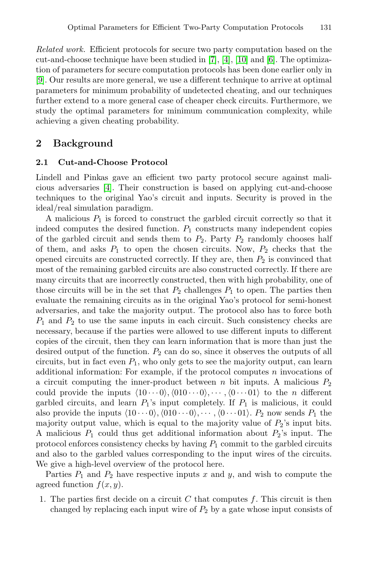<span id="page-3-0"></span>*Related work.* Efficient protocols for secure two party computation based on the cut-and-choose technique have been studied in [7], [4], [10] and [6]. The optimization of parameters for secure computation protocols has been done earlier only in [9]. Our results are more general, we use a different technique to arrive at optimal parameters for minimum probability of undetected cheating, and our techniques further extend to a more general case of cheaper check circuits. Furthermore, we [st](#page-15-4)udy the optimal parameters for minimum communication complexity, while achieving a given cheating probability.

## **2 Background**

### **2.1 Cut-and-Choose Protocol**

Lindell and Pinkas gave an efficient two party protocol secure against malicious adversaries [4]. Their construction is based on applying cut-and-choose techniques to the original Yao's circuit and inputs. Security is proved in the ideal/real simulation paradigm.

A malicious  $P_1$  is forced to construct the garbled circuit correctly so that it indeed computes the desired function.  $P_1$  constructs many independent copies of the garbled circuit and sends them to  $P_2$ . Party  $P_2$  randomly chooses half of them, and asks  $P_1$  to open the chosen circuits. Now,  $P_2$  checks that the opened circuits are constructed correctly. If they are, then  $P_2$  is convinced that most of the remaining garbled circuits are also constructed correctly. If there are many circuits that are incorrectly constructed, then with high probability, one of those circuits will be in the set that  $P_2$  challenges  $P_1$  to open. The parties then evaluate the remaining circuits as in the original Yao's protocol for semi-honest adversaries, and take the majority output. The protocol also has to force both  $P_1$  and  $P_2$  to use the same inputs in each circuit. Such consistency checks are necessary, because if the parties were allowed to use different inputs to different copies of the circuit, then they can learn information that is more than just the desired output of the function.  $P_2$  can do so, since it observes the outputs of all circuits, but in fact even  $P_1$ , who only gets to see the majority output, can learn additional information: For example, if the protocol computes  $n$  invocations of a circuit computing the inner-product between n bit inputs. A malicious  $P_2$ could provide the inputs  $(10 \cdots 0), (010 \cdots 0), \cdots, (0 \cdots 01)$  to the *n* different garbled circuits, and learn  $P_1$ 's input completely. If  $P_1$  is malicious, it could also provide the inputs  $\langle 10 \cdots 0 \rangle$ ,  $\langle 010 \cdots 0 \rangle$ ,  $\cdots$ ,  $\langle 0 \cdots 01 \rangle$ .  $P_2$  now sends  $P_1$  the majority output value, which is equal to the majority value of  $P_2$ 's input bits. A malicious  $P_1$  could thus get additional information about  $P_2$ 's input. The protocol enforces consistency checks by having  $P_1$  commit to the garbled circuits and also to the garbled values corresponding to the input wires of the circuits. We give a high-level overview of the protocol here.

Parties  $P_1$  and  $P_2$  have respective inputs x and y, and wish to compute the agreed function  $f(x, y)$ .

1. The parties first decide on a circuit  $C$  that computes  $f$ . This circuit is then changed by replacing each input wire of  $P_2$  by a gate whose input consists of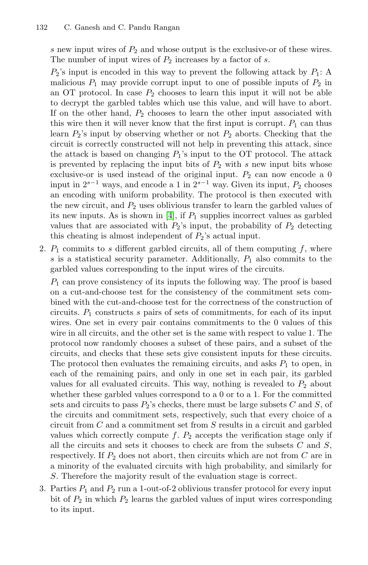s new input wires of  $P_2$  and whose output is the exclusive-or of these wires. The number of input wires of  $P_2$  increases by a factor of s.

 $P_2$ 's input is encoded in this way to prevent the following attack by  $P_1$ : A malicious  $P_1$  may provide corrupt input to one of possible inputs of  $P_2$  in an OT protocol. In case  $P_2$  chooses to learn this input it will not be able to decrypt the garbled tables which use this value, and will have to abort. If on the other hand,  $P_2$  chooses to learn the other input associated with this wire then it will never know that the first input is corrupt.  $P_1$  can thus learn  $P_2$ 's i[npu](#page-15-4)t by observing whether or not  $P_2$  aborts. Checking that the circuit is correctly constructed will not help in preventing this attack, since the attack is based on changing  $P_1$ 's input to the OT protocol. The attack is prevented by replacing the input bits of  $P_2$  with s new input bits whose exclusive-or is used instead of the original input.  $P_2$  can now encode a 0 input in  $2^{s-1}$  ways, and encode a 1 in  $2^{s-1}$  way. Given its input,  $P_2$  chooses an encoding with uniform probability. The protocol is then executed with the new circuit, and  $P_2$  uses oblivious transfer to learn the garbled values of its new inputs. As is shown in [4], if  $P_1$  supplies incorrect values as garbled values that are associated with  $P_2$ 's input, the probability of  $P_2$  detecting this cheating is almost independent of  $P_2$ 's actual input.

2.  $P_1$  commits to s different garbled circuits, all of them computing  $f$ , where s is a statistical security parameter. Additionally,  $P_1$  also commits to the garbled values corresponding to the input wires of the circuits.

 $P_1$  can prove consistency of its inputs the following way. The proof is based on a cut-and-choose test for the consistency of the commitment sets combined with the cut-and-choose test for the correctness of the construction of circuits.  $P_1$  constructs s pairs of sets of commitments, for each of its input wires. One set in every pair contains commitments to the 0 values of this wire in all circuits, and the other set is the same with respect to value 1. The protocol now randomly chooses a subset of these pairs, and a subset of the circuits, and checks that these sets give consistent inputs for these circuits. The protocol then evaluates the remaining circuits, and asks  $P_1$  to open, in each of the remaining pairs, and only in one set in each pair, its garbled values for all evaluated circuits. This way, nothing is revealed to  $P_2$  about whether these garbled values correspond to a 0 or to a 1. For the committed sets and circuits to pass  $P_2$ 's checks, there must be large subsets C and S, of the circuits and commitment sets, respectively, such that every choice of a circuit from C and a commitment set from S results in a circuit and garbled values which correctly compute  $f$ .  $P_2$  accepts the verification stage only if all the circuits and sets it chooses to check are from the subsets  $C$  and  $S$ , respectively. If  $P_2$  does not abort, then circuits which are not from C are in a minority of the evaluated circuits with high probability, and similarly for S. Therefore the majority result of the evaluation stage is correct.

3. Parties  $P_1$  and  $P_2$  run a 1-out-of-2 oblivious transfer protocol for every input bit of  $P_2$  in which  $P_2$  learns the garbled values of input wires corresponding to its input.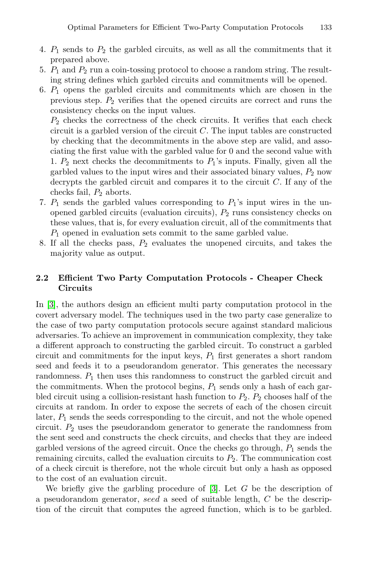- 4.  $P_1$  sends to  $P_2$  the garbled circuits, as well as all the commitments that it prepared above.
- 5.  $P_1$  and  $P_2$  run a coin-tossing protocol to choose a random string. The resulting string defines which garbled circuits and commitments will be opened.
- 6.  $P_1$  opens the garbled circuits and commitments which are chosen in the previous step.  $P_2$  verifies that the opened circuits are correct and runs the consistency checks on the input values.

 $P_2$  checks the correctness of the check circuits. It verifies that each check circuit is a garbled version of the circuit  $C$ . The input tables are constructed by checking that the decommitments in the above step are valid, and associating the first value with the garbled value for 0 and the second value with 1.  $P_2$  next checks the decommitments to  $P_1$ 's inputs. Finally, given all the garbled values to the input wires and their associated binary values,  $P_2$  now decrypts the garbled circuit and compares it to the circuit  $C$ . If any of the checks fail,  $P_2$  aborts.

- 7.  $P_1$  sends the garbled values corresponding to  $P_1$ 's input wires in the unopened garbled circuits (evaluation circuits),  $P_2$  runs consistency checks on these values, that is, for every evaluation circuit, all of the commitments that  $P_1$  opened in evaluation sets commit to the same garbled value.
- 8. If all the checks pass,  $P_2$  evaluates the unopened circuits, and takes the majority value as output.

### **2.2 Efficient Two Party Computation Protocols - Cheaper Check Circuits**

In [3], the authors design an efficient multi party computation protocol in the covert adversary model. The techniques used in the two party case generalize to the case of two party computation protocols secure against standard malicious adversaries. To achieve an improvement in communication complexity, they take a different approach to constructing the garbled circuit. To construct a garbled circuit and commitments for the input keys,  $P_1$  first generates a short random seed and feeds it to a pseudorandom generator. This generates the necessary randomness.  $P_1$  then uses this randomness to construct the garbled circuit and the commitments. When the protocol begins,  $P_1$  sends only a hash of each garbled circuit using a collision-resistant hash function to  $P_2$ .  $P_2$  chooses half of the circuits at random. In orde[r t](#page-15-5)o expose the secrets of each of the chosen circuit later,  $P_1$  sends the seeds corresponding to the circuit, and not the whole opened circuit.  $P_2$  uses the pseudorandom generator to generate the randomness from the sent seed and constructs the check circuits, and checks that they are indeed garbled versions of the agreed circuit. Once the checks go through,  $P_1$  sends the remaining circuits, called the evaluation circuits to  $P_2$ . The communication cost of a check circuit is therefore, not the whole circuit but only a hash as opposed to the cost of an evaluation circuit.

We briefly give the garbling procedure of  $[3]$ . Let G be the description of a pseudorandom generator, seed a seed of suitable length, C be the description of the circuit that computes the agreed function, which is to be garbled.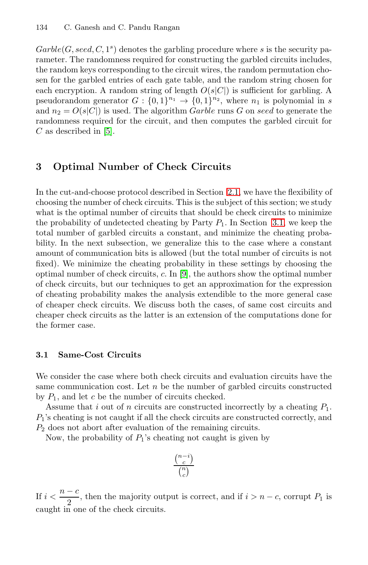$Garble(G, seed, C, 1<sup>s</sup>)$  $Garble(G, seed, C, 1<sup>s</sup>)$  denotes the garbling procedure where s is the security parameter. The randomness required for constructing the garbled circuits includes, the random keys corresponding to the circuit wires, the random permutation chosen for the garbled entries of each gate table, and the random string chosen for each encryption. A random string of length  $O(s|C|)$  is sufficient for garbling. A pseudorandom generator  $G: \{0,1\}^{n_1} \rightarrow \{0,1\}^{n_2}$ , where  $n_1$  is polynomial in s and  $n_2 = O(s|C|)$  is used. The a[lgor](#page-3-0)ithm *Garble* runs G on seed to generate the randomness required for the circuit, and then computes the garbled circuit for  $C$  as described in [5].

# **3 Optimal Number of Check Circuits**

In the cut-and-choo[se](#page-15-6) protocol described in Section 2.1, we have the flexibility of choosing the number of check circuits. This is the subject of this section; we study what is the optimal number of circuits that should be check circuits to minimize the probability of undetected cheating by Party  $P_1$ . In Section 3.1, we keep the total number of garbled circuits a constant, and minimize the cheating probability. In the next subsection, we generalize this to the case where a constant amount of communication bits is allowed (but the total number of circuits is not fixed). We minimize the cheating probability in these settings by choosing the optimal number of check circuits, c. In [9], the authors show the optimal number of check circuits, but our techniques to get an approximation for the expression of cheating probability makes the analysis extendible to the more general case of cheaper check circuits. We discuss both the cases, of same cost circuits and cheaper check circuits as the latter is an extension of the computations done for the former case.

### **3.1 Same-Cost Circuits**

We consider the case where both check circuits and evaluation circuits have the same communication cost. Let  $n$  be the number of garbled circuits constructed by  $P_1$ , and let c be the number of circuits checked.

Assume that i out of n circuits are constructed incorrectly by a cheating  $P_1$ .  $P_1$ 's cheating is not caught if all the check circuits are constructed correctly, and  $P_2$  does not abort after evaluation of the remaining circuits.

Now, the probability of  $P_1$ 's cheating not caught is given by

$$
\frac{\binom{n-i}{c}}{\binom{n}{c}}
$$

If  $i < \frac{n-c}{2}$ , then the majority output is correct, and if  $i > n-c$ , corrupt  $P_1$  is caught in one of the check circuits.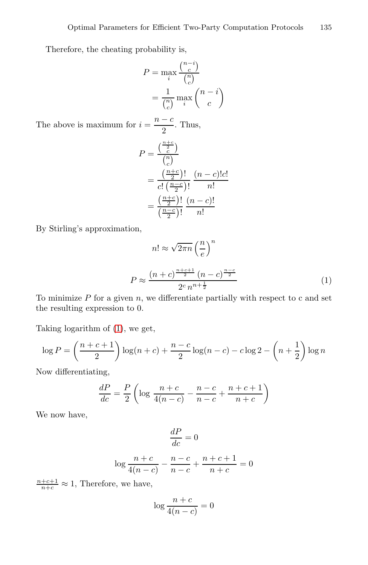Therefore, the cheating probability is,

$$
P = \max_{i} \frac{\binom{n-i}{c}}{\binom{n}{c}}
$$

$$
= \frac{1}{\binom{n}{c}} \max_{i} \binom{n-i}{c}
$$

The above is maximum for  $i = \frac{n - c}{2}$ . Thus,

$$
P = \frac{\left(\frac{n+c}{c}\right)}{\binom{n}{c}}
$$
  
= 
$$
\frac{\left(\frac{n+c}{2}\right)!}{c! \left(\frac{n-c}{2}\right)!} \frac{(n-c)!c!}{n!}
$$
  
= 
$$
\frac{\left(\frac{n+c}{2}\right)!}{\left(\frac{n-c}{2}\right)!} \frac{(n-c)!}{n!}
$$

By Stirling's approximation,

$$
n! \approx \sqrt{2\pi n} \left(\frac{n}{e}\right)^n
$$

$$
P \approx \frac{(n+c)^{\frac{n+c+1}{2}} (n-c)^{\frac{n-c}{2}}}{2^c n^{n+\frac{1}{2}}}
$$
(1)

To minimize P for a given n, we differentiate partially with respect to c and set the resulting expression to 0.

Taking logarithm of (1), we get,

$$
\log P = \left(\frac{n+c+1}{2}\right) \log(n+c) + \frac{n-c}{2} \log(n-c) - c \log 2 - \left(n+\frac{1}{2}\right) \log n
$$

Now differentiating,

$$
\frac{dP}{dc} = \frac{P}{2} \left( \log \frac{n+c}{4(n-c)} - \frac{n-c}{n-c} + \frac{n+c+1}{n+c} \right)
$$

We now have,

$$
\frac{dP}{dc} = 0
$$

$$
\log \frac{n+c}{4(n-c)} - \frac{n-c}{n-c} + \frac{n+c+1}{n+c} = 0
$$

 $\frac{n+c+1}{n+c} \approx 1$ , Therefore, we have,

$$
\log\frac{n+c}{4(n-c)}=0
$$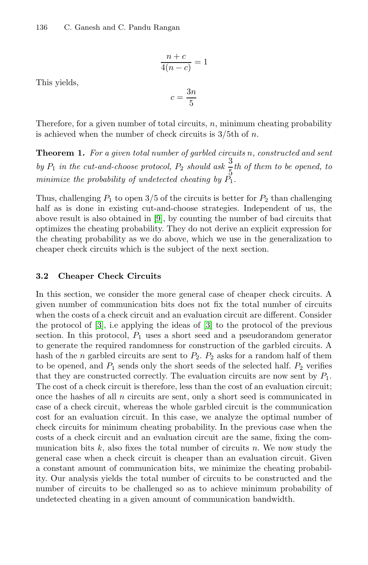$$
\frac{n+c}{4(n-c)} = 1
$$

This yields,

$$
c = \frac{3n}{5}
$$

Therefore, for a given number of total circuits,  $n$ , minimum cheating probability is achieved w[he](#page-15-6)n the number of check circuits is  $3/5$ th of n.

**Theorem 1.** *For a given total number of garbled circuits* n*, constructed and sent* by  $P_1$  *in the cut-and-choose protocol,*  $P_2$  *should ask*  $\frac{3}{5}$ *th of them to be opened, to minimize the probability of undetected cheating by*  $P_1$ .

Thus, challenging  $P_1$  to open 3/5 of the circuits is better for  $P_2$  than challenging half as is done in existing cut-and-choose strategies. Independent of us, the above result is also obtained in [9], by counting the number of bad circuits that optimizes the cheating probability. They do not derive an explicit expression for the cheating probability as we do above, which we use in the generalization to cheaper check circuits whi[ch](#page-15-5) is the subject of the next section.

#### **3.2 Cheaper Check Circuits**

In this section, we consider the more general case of cheaper check circuits. A given number of communication bits does not fix the total number of circuits when the costs of a check circuit and an evaluation circuit are different. Consider the protocol of [3], i.e applying the ideas of [3] to the protocol of the previous section. In this protocol,  $P_1$  uses a short seed and a pseudorandom generator to generate the required randomness for construction of the garbled circuits. A hash of the *n* garbled circuits are sent to  $P_2$ .  $P_2$  asks for a random half of them to be opened, and  $P_1$  sends only the short seeds of the selected half.  $P_2$  verifies that they are constructed correctly. The evaluation circuits are now sent by  $P_1$ . The cost of a check circuit is therefore, less than the cost of an evaluation circuit; once the hashes of all  $n$  circuits are sent, only a short seed is communicated in case of a check circuit, whereas the whole garbled circuit is the communication cost for an evaluation circuit. In this case, we analyze the optimal number of check circuits for minimum cheating probability. In the previous case when the costs of a check circuit and an evaluation circuit are the same, fixing the communication bits  $k$ , also fixes the total number of circuits n. We now study the general case when a check circuit is cheaper than an evaluation circuit. Given a constant amount of communication bits, we minimize the cheating probability. Our analysis yields the total number of circuits to be constructed and the number of circuits to be challenged so as to achieve minimum probability of undetected cheating in a given amount of communication bandwidth.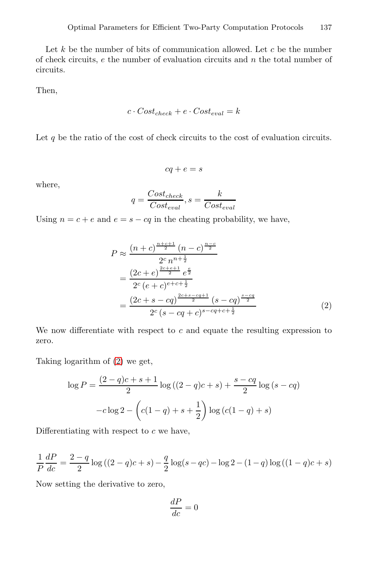Let  $k$  be the number of bits of communication allowed. Let  $c$  be the number of check circuits,  $e$  the number of evaluation circuits and  $n$  the total number of circuits.

Then,

$$
c \cdot Cost_{check} + e \cdot Cost_{eval} = k
$$

Let  $q$  be the ratio of the cost of check circuits to the cost of evaluation circuits.

$$
cq+e=s
$$

where,

$$
q = \frac{Cost_{check}}{Cost_{eval}}, s = \frac{k}{Cost_{eval}}
$$

Using  $n = c + e$  and  $e = s - cq$  in the cheating probability, we have,

$$
P \approx \frac{(n+c)^{\frac{n+c+1}{2}} (n-c)^{\frac{n-c}{2}}}{2^c n^{n+\frac{1}{2}}} \\
= \frac{(2c+e)^{\frac{2c+e+1}{2}} e^{\frac{e}{2}}}{2^c (e+c)^{e+c+\frac{1}{2}}} \\
= \frac{(2c+s-cq)^{\frac{2c+s-cq+1}{2}} (s-cq)^{\frac{s-cq}{2}}}{2^c (s-cq+c)^{s-cq+c+\frac{1}{2}}}
$$
(2)

We now differentiate with respect to  $c$  and equate the resulting expression to zero.

Taking logarithm of (2) we get,

$$
\log P = \frac{(2-q)c + s + 1}{2} \log ((2-q)c + s) + \frac{s - cq}{2} \log (s - cq)
$$

$$
-c \log 2 - \left(c(1-q) + s + \frac{1}{2}\right) \log (c(1-q) + s)
$$

Differentiating with respect to  $c$  we have,

$$
\frac{1}{P}\frac{dP}{dc} = \frac{2-q}{2}\log((2-q)c+s) - \frac{q}{2}\log(s-qc) - \log(2-(1-q)\log((1-q)c+s))
$$

Now setting the derivative to zero,

$$
\frac{dP}{dc} = 0
$$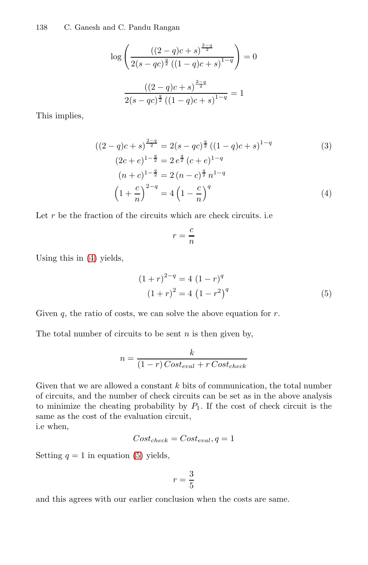$$
\log\left(\frac{\left((2-q)c+s\right)^{\frac{2-q}{2}}}{2(s-qc)^{\frac{q}{2}}\left((1-q)c+s\right)^{1-q}}\right) = 0
$$

$$
\frac{\left((2-q)c+s\right)^{\frac{2-q}{2}}}{2(s-qc)^{\frac{q}{2}}\left((1-q)c+s\right)^{1-q}} = 1
$$

This implies,

$$
((2-q)c+s)^{\frac{2-q}{2}} = 2(s-qc)^{\frac{q}{2}}((1-q)c+s)^{1-q}
$$
  
\n
$$
(2c+e)^{1-\frac{q}{2}} = 2e^{\frac{q}{2}}(c+e)^{1-q}
$$
  
\n
$$
(n+c)^{1-\frac{q}{2}} = 2(n-c)^{\frac{q}{2}}n^{1-q}
$$
  
\n
$$
(1+\frac{c}{n})^{2-q} = 4(1-\frac{c}{n})^q
$$
\n(4)

Let  $\boldsymbol{r}$  be the fraction of the circuits which are check circuits. i.e

$$
r = \frac{c}{n}
$$

Using this in (4) yields,

$$
(1+r)^{2-q} = 4 (1-r)^{q}
$$
  

$$
(1+r)^{2} = 4 (1-r^{2})^{q}
$$
 (5)

Given  $q$ , the ratio of costs, we can solve the above equation for  $r$ .

The total number of circuits to be sent  $n$  is then given by,

$$
n = \frac{k}{(1-r) \text{Cost}_{eval} + r \text{Cost}_{check}}
$$

Given that we are allowed a constant  $k$  bits of communication, the total number of circuits, and the number of check circuits can be set as in the above analysis to minimize the cheating probability by  $P_1$ . If the cost of check circuit is the same as the cost of the evaluation circuit, i.e when,

$$
Cost_{check} = Cost_{eval}, q = 1
$$

Setting  $q = 1$  in equation (5) yields,

$$
r = \frac{3}{5}
$$

and this agrees with our earlier conclusion when the costs are same.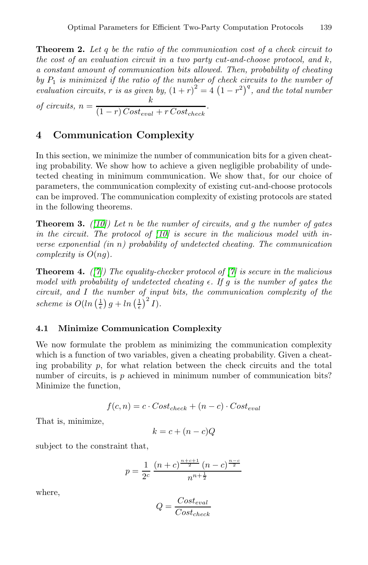**Theorem 2.** *Let* q *be the ratio of the communication cost of a check circuit to the cost of an evaluation circuit in a two party cut-and-choose protocol, and* k*, a constant amount of communication bits allowed. Then, probability of cheating*  $by$   $P_1$  *is minimized if the ratio of the number of check circuits to the number of evaluation circuits, r is as given by,*  $(1 + r)^2 = 4(1 - r^2)^q$ , and the total number of circuits,  $n = \frac{k}{(1 - r) Cost_{eval} + r Cost_{check}}$ .

<span id="page-11-1"></span>

### **4 Communication Complexity**

<span id="page-11-0"></span>In this sectio[n, w](#page-15-7)e minimize the number of communication bits for a given cheating probability. We show how to achieve a given negligible probability of undetected cheating in minimum communication. We show that, for our choice of parameters, the communication complexity of existing cut-and-choose protocols can be improved. The communic[ati](#page-15-8)on complexity of existing protocols are stated in the following theorems.

**Theorem 3.** *([10]) Let* n *be the number of circuits, and* g *the number of gates in the circuit. The protocol of [10] is secure in the malicious model with inverse exponential (in* n*) probability of undetected cheating. The communication complexity is* O(ng)*.*

**Theorem 4.** *([7]) The equality-checker protocol of [7] is secure in the malicious model with probability of undetected cheating*  $\epsilon$ . If g *is the number of gates the circuit, and* I *the number of input bits, the communication complexity of the* scheme is  $O(\ln\left(\frac{1}{\epsilon}\right)g + \ln\left(\frac{1}{\epsilon}\right)^2I)$ .

### **4.1 Minimize Communication Complexity**

We now formulate the problem as minimizing the communication complexity which is a function of two variables, given a cheating probability. Given a cheating probability  $p$ , for what relation between the check circuits and the total number of circuits, is p achieved in minimum number of communication bits? Minimize the function,

$$
f(c, n) = c \cdot Cost_{check} + (n - c) \cdot Cost_{eval}
$$

That is, minimize,

$$
k = c + (n - c)Q
$$

subject to the constraint that,

$$
p = \frac{1}{2^c} \frac{(n+c)^{\frac{n+c+1}{2}} (n-c)^{\frac{n-c}{2}}}{n^{n+\frac{1}{2}}}
$$

where,

$$
Q = \frac{Cost_{eval}}{Cost_{check}}
$$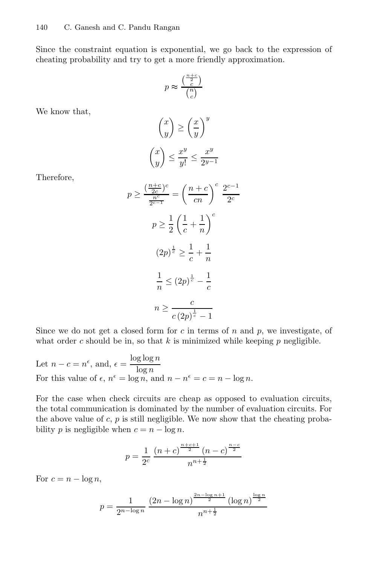Since the constraint equation is exponential, we go back to the expression of cheating probability and try to get a more friendly approximation.

$$
p \approx \frac{\binom{\frac{n+c}{2}}{c}}{\binom{n}{c}}
$$

We know that,

$$
\binom{x}{y} \ge \left(\frac{x}{y}\right)^y
$$

$$
\binom{x}{y} \le \frac{x^y}{y!} \le \frac{x^y}{2^{y-1}}
$$

Therefore,

$$
p \ge \frac{\left(\frac{n+c}{2c}\right)^c}{\frac{n^c}{2c-1}} = \left(\frac{n+c}{cn}\right)^c \frac{2^{c-1}}{2c}
$$

$$
p \ge \frac{1}{2} \left(\frac{1}{c} + \frac{1}{n}\right)^c
$$

$$
(2p)^{\frac{1}{c}} \ge \frac{1}{c} + \frac{1}{n}
$$

$$
\frac{1}{n} \le (2p)^{\frac{1}{c}} - \frac{1}{c}
$$

$$
n \ge \frac{c}{c\left(2p\right)^{\frac{1}{c}} - 1}
$$

Since we do not get a closed form for  $c$  in terms of  $n$  and  $p$ , we investigate, of what order c should be in, so that  $k$  is minimized while keeping  $p$  negligible.

Let 
$$
n - c = n^{\epsilon}
$$
, and,  $\epsilon = \frac{\log \log n}{\log n}$   
For this value of  $\epsilon$ ,  $n^{\epsilon} = \log n$ , and  $n - n^{\epsilon} = c = n - \log n$ .

For the case when check circuits are cheap as opposed to evaluation circuits, the total communication is dominated by the number of evaluation circuits. For the above value of  $c, p$  is still negligible. We now show that the cheating probability p is negligible when  $c = n - \log n$ .

$$
p = \frac{1}{2^c} \frac{(n+c)^{\frac{n+c+1}{2}} (n-c)^{\frac{n-c}{2}}}{n^{n+\frac{1}{2}}}
$$

For  $c = n - \log n$ ,

$$
p = \frac{1}{2^{n-\log n}} \frac{(2n - \log n)^{\frac{2n - \log n + 1}{2}} (\log n)^{\frac{\log n}{2}}}{n^{n + \frac{1}{2}}}
$$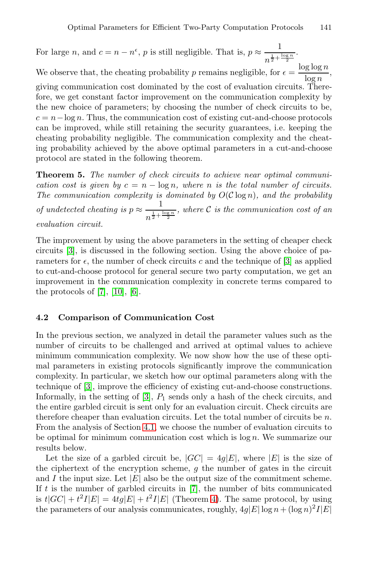<span id="page-13-0"></span>For large n, and  $c = n - n^{\epsilon}$ , p is still negligible. That is,  $p \approx \frac{1}{1 + n^{\epsilon}}$  $rac{1}{n^{\frac{1}{2}+\frac{\log n}{2}}}$ . We observe that, the cheating probability p remains negligible, for  $\epsilon = \frac{\log \log n}{\log n}$ , giving communication cost dominated by the cost of evaluation circuits. Therefore, we get constant factor improvement on the communication complexity by the new choice of parameters; by choosing the number of check circuits to be,  $c = n - \log n$ . Thus, the communication cost of existing cut-and-choose protocols can be improved, while still retaining the security guarantees, i.e. keeping the cheating probability negligible. The communication complexity and the cheating probability achieved by the above optimal parameters in a cut-and-choose protocol are stated in the following theorem.

**Theorem 5.** *The number of check circuits to achieve near optimal communication cost [is](#page-15-5) given by*  $c = n - \log n$ , where *n is the total number of circuits.* The communication complexity is dominated by  $O(C \log n)$ , and the probability *o[f un](#page-15-7)d[ete](#page-15-9)cted cheating is*  $p \approx \frac{1}{1 + p}$  $n^{\frac{1}{2} + \frac{\log n}{2}}$ *, where* C *is the communication cost of an evaluation circuit.*

The improvement by using the above parameters in the setting of cheaper check circuits [3], is discussed in the following section. Using the above choice of parameters for  $\epsilon$ , the number of check circuits c and the technique of [3] as applied to cut-and-choose protocol for general secure two party computation, we get an improvement in the communication complexity in concrete terms compared to the protocols of  $[7]$ ,  $[10]$ ,  $[6]$ .

### **4.2 Co[mp](#page-15-5)arison of Communication Cost**

In the previous section, we analyzed in detail the parameter values such as the number o[f cir](#page-11-0)cuits to be challenged and arrived at optimal values to achieve minimum communication complexity. We now show how the use of these optimal parameters in existing protocols significantly improve the communication complexity. In particular, we sketch how our optimal parameters along with the technique of [3], improve the efficiency of existing cut-and-choose constructions. Informally, in the setting of  $[3]$ ,  $P_1$  sends only a hash of the check circuits, and the entire garbled circ[uit](#page-15-8) is sent only for an evaluation circuit. Check circuits are therefore cheaper than eval[uat](#page-11-1)ion circuits. Let the total number of circuits be  $n$ . From the analysis of Section 4.1, we choose the number of evaluation circuits to be optimal for minimum communication cost which is  $\log n$ . We summarize our results below.

Let the size of a garbled circuit be,  $|GC| = 4g|E|$ , where  $|E|$  is the size of the ciphertext of the encryption scheme,  $q$  the number of gates in the circuit and I the input size. Let  $|E|$  also be the output size of the commitment scheme. If t is the number of garbled circuits in  $[7]$ , the number of bits communicated is  $t|GC| + t^2I|E| = 4tg|E| + t^2I|E|$  (Theorem 4). The same protocol, by using the parameters of our analysis communicates, roughly,  $4q|E| \log n + (\log n)^2 I|E|$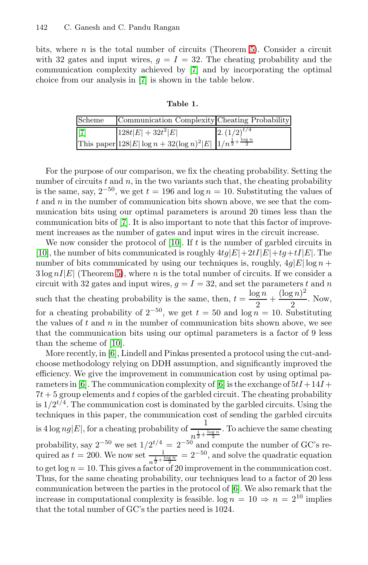bits, where  $n$  is the total number of circuits (Theorem 5). Consider a circuit with 32 gates and input wires,  $g = I = 32$ . The cheating probability and the communication complexity achieved by [7] and by incorporating the optimal choice from our analysis in [7] is shown in the table below.

| Scheme      | Communication Complexity Cheating Probability                                       |                   |
|-------------|-------------------------------------------------------------------------------------|-------------------|
| $\vert$ [7] | $128t E  + 32t^2 E $                                                                | $(2.(1/2))^{t/4}$ |
|             | This paper $ 128 E  \log n + 32(\log n)^2 E   1/n^{\frac{1}{2} + \frac{\log n}{2}}$ |                   |

For the purpos[e](#page-15-7) [o](#page-15-7)f our comparison, we fix the cheating probability. Setting the number of circuits  $t$  and  $n$ , in the two variants such that, the cheating probability is [th](#page-13-0)e same, say,  $2^{-50}$ , we get  $t = 196$  and  $\log n = 10$ . Substituting the values of  $t$  and  $n$  in the number of communication bits shown above, we see that the communication bits using our optimal parameters is around 20 times less than the communication bits of [7]. It is also important to note that this factor of improvement increases as the number of gates and input wires in the circuit increase.

We now consider the protocol of  $[10]$ . If t is the number of garbled circuits in [10], the number of bits communicated is roughly  $4tg|E|+2tI|E|+tg+tI|E|$ . The [num](#page-15-7)ber of bits communicated by using our techniques is, roughly,  $4g|E| \log n$  +  $3 \log nI|E|$  (Theorem 5), where n is the total number of circuits. If we consider a circuit with 32 gates and input wires,  $g = I = 32$ , and set the parameters t and n such that the cheating proba[bili](#page-15-9)ty is the same, then,  $t = \frac{\log n}{2} + \frac{(\log n)^2}{2}$ . Now, for a cheating probability of  $2^{-50}$ , we get  $t = 50$  and  $\log n = 10$ . Substituting the values of  $t$  and  $n$  in the number of communication bits shown above, we see that the communication bits using our optimal parameters is a factor of 9 less than the scheme of [10].

More recently, in [6], Lindell and Pinkas presented a protocol using the cut-andchoose methodology relying on DDH assumption, and significantly improved the efficiency. We give the improvement in communication cost by using optimal parameters in [6]. The communication complexity of [6] is the exchange of  $5tI + 14I +$  $7t + 5$  group elements and t copies of the garbled circuit. The cheating probability is  $1/2^{t/4}$ . The communication cost [is](#page-15-9) dominated by the garbled circuits. Using the techniques in this paper, the communication cost of sending the garbled circuits is  $4 \log n g |E|$ , for a cheating probability of  $\frac{1}{1}$  $n^{\frac{1}{2} + \frac{\log n}{2}}$ . To achieve the same cheating probability, say  $2^{-50}$  we set  $1/2^{t/4} = 2^{-50}$  and compute the number of GC's required as  $t = 200$ . We now set  $\frac{1}{n^{\frac{1}{2} + \frac{\log n}{2}}}$  $= 2^{-50}$ , and solve the quadratic equation to get  $\log n = 10$ . This gives a factor of 20 improvement in the communication cost. Thus, for the same cheating probability, our techniques lead to a factor of 20 less communication between the parties in the protocol of [6]. We also remark that the increase in computational complexity is feasible.  $\log n = 10 \Rightarrow n = 2^{10}$  implies that the total number of GC's the parties need is 1024.